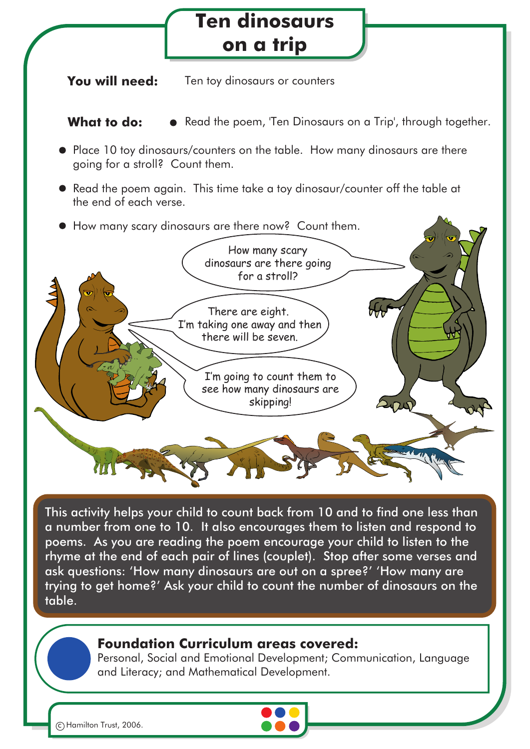## **Ten dinosaurs on a trip**

**You will need:** Ten toy dinosaurs or counters

**What to do:**  $\bullet$  Read the poem, 'Ten Dinosaurs on a Trip', through together.

- Place 10 toy dinosaurs/counters on the table. How many dinosaurs are there going for a stroll? Count them.
- Read the poem again. This time take a toy dinosaur/counter off the table at the end of each verse.
- How many scary dinosaurs are there now? Count them.



This activity helps your child to count back from 10 and to find one less than a number from one to 10. It also encourages them to listen and respond to poems. As you are reading the poem encourage your child to listen to the rhyme at the end of each pair of lines (couplet). Stop after some verses and ask questions: 'How many dinosaurs are out on a spree?' 'How many are trying to get home?' Ask your child to count the number of dinosaurs on the table.

## **Foundation Curriculum areas covered:**

Personal, Social and Emotional Development; Communication, Language and Literacy; and Mathematical Development.